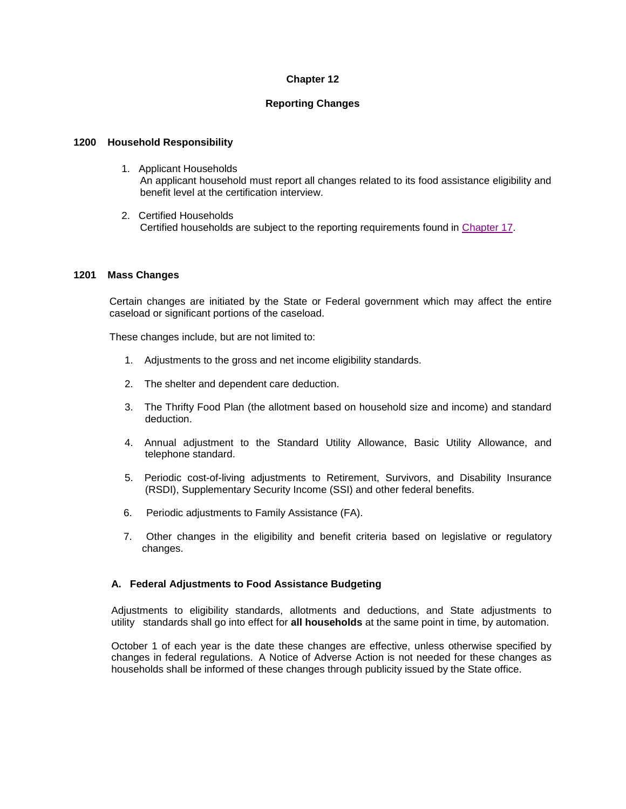# **Chapter 12**

# **Reporting Changes**

### **1200 Household Responsibility**

- 1. Applicant Households An applicant household must report all changes related to its food assistance eligibility and benefit level at the certification interview.
- 2. Certified Households Certified households are subject to the reporting requirements found in [Chapter 17.](http://dhr.alabama.gov/POE/chapter/CHAPTER%20171.htm#Chapter_17)

#### **1201 Mass Changes**

Certain changes are initiated by the State or Federal government which may affect the entire caseload or significant portions of the caseload.

These changes include, but are not limited to:

- 1. Adjustments to the gross and net income eligibility standards.
- 2. The shelter and dependent care deduction.
- 3. The Thrifty Food Plan (the allotment based on household size and income) and standard deduction.
- 4. Annual adjustment to the Standard Utility Allowance, Basic Utility Allowance, and telephone standard.
- 5. Periodic cost-of-living adjustments to Retirement, Survivors, and Disability Insurance (RSDI), Supplementary Security Income (SSI) and other federal benefits.
- 6. Periodic adjustments to Family Assistance (FA).
- 7. Other changes in the eligibility and benefit criteria based on legislative or regulatory changes.

### **A. Federal Adjustments to Food Assistance Budgeting**

Adjustments to eligibility standards, allotments and deductions, and State adjustments to utility standards shall go into effect for **all households** at the same point in time, by automation.

October 1 of each year is the date these changes are effective, unless otherwise specified by changes in federal regulations. A Notice of Adverse Action is not needed for these changes as households shall be informed of these changes through publicity issued by the State office.